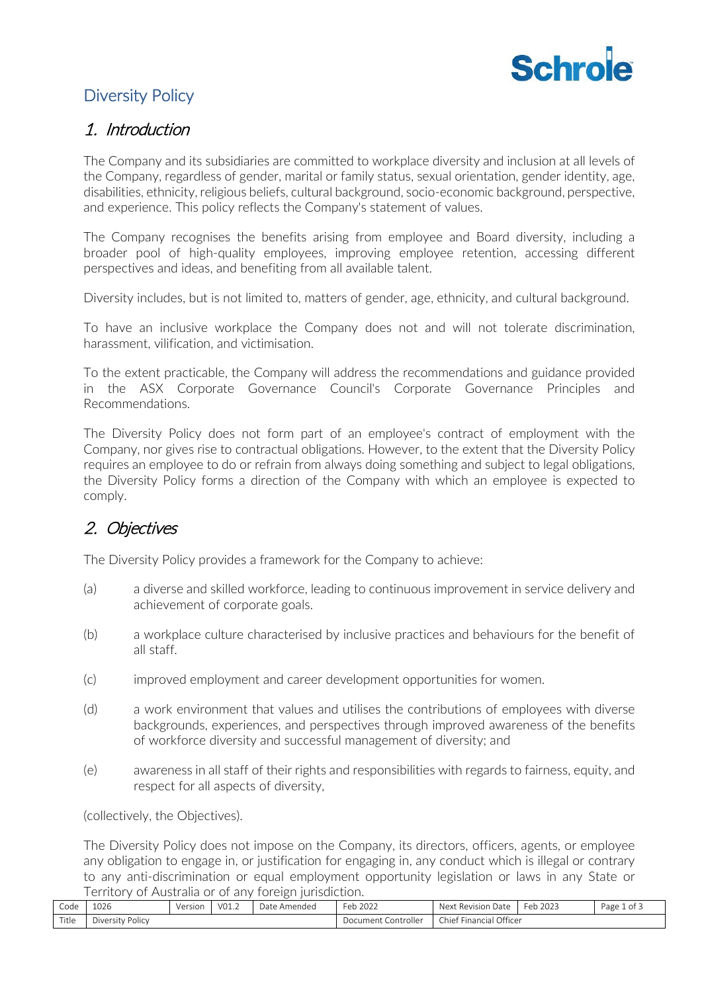

## Diversity Policy

### 1. Introduction

The Company and its subsidiaries are committed to workplace diversity and inclusion at all levels of the Company, regardless of gender, marital or family status, sexual orientation, gender identity, age, disabilities, ethnicity, religious beliefs, cultural background, socio-economic background, perspective, and experience. This policy reflects the Company's statement of values.

The Company recognises the benefits arising from employee and Board diversity, including a broader pool of high-quality employees, improving employee retention, accessing different perspectives and ideas, and benefiting from all available talent.

Diversity includes, but is not limited to, matters of gender, age, ethnicity, and cultural background.

To have an inclusive workplace the Company does not and will not tolerate discrimination, harassment, vilification, and victimisation.

To the extent practicable, the Company will address the recommendations and guidance provided in the ASX Corporate Governance Council's Corporate Governance Principles and Recommendations.

The Diversity Policy does not form part of an employee's contract of employment with the Company, nor gives rise to contractual obligations. However, to the extent that the Diversity Policy requires an employee to do or refrain from always doing something and subject to legal obligations, the Diversity Policy forms a direction of the Company with which an employee is expected to comply.

## 2. Objectives

The Diversity Policy provides a framework for the Company to achieve:

- (a) a diverse and skilled workforce, leading to continuous improvement in service delivery and achievement of corporate goals.
- (b) a workplace culture characterised by inclusive practices and behaviours for the benefit of all staff.
- (c) improved employment and career development opportunities for women.
- (d) a work environment that values and utilises the contributions of employees with diverse backgrounds, experiences, and perspectives through improved awareness of the benefits of workforce diversity and successful management of diversity; and
- (e) awareness in all staff of their rights and responsibilities with regards to fairness, equity, and respect for all aspects of diversity,

(collectively, the Objectives).

The Diversity Policy does not impose on the Company, its directors, officers, agents, or employee any obligation to engage in, or justification for engaging in, any conduct which is illegal or contrary to any anti-discrimination or equal employment opportunity legislation or laws in any State or Territory of Australia or of any foreign jurisdiction.

| Code  | 1026             | Version | V01.2 | Date Amended | Feb<br>$\frac{1}{2022}$ | Next Revision Date      | Feb 2023 | Page 1 of $\overline{\ }$ |
|-------|------------------|---------|-------|--------------|-------------------------|-------------------------|----------|---------------------------|
| Title | Diversity Policy |         |       |              | Document Controller     | Chief Financial Officer |          |                           |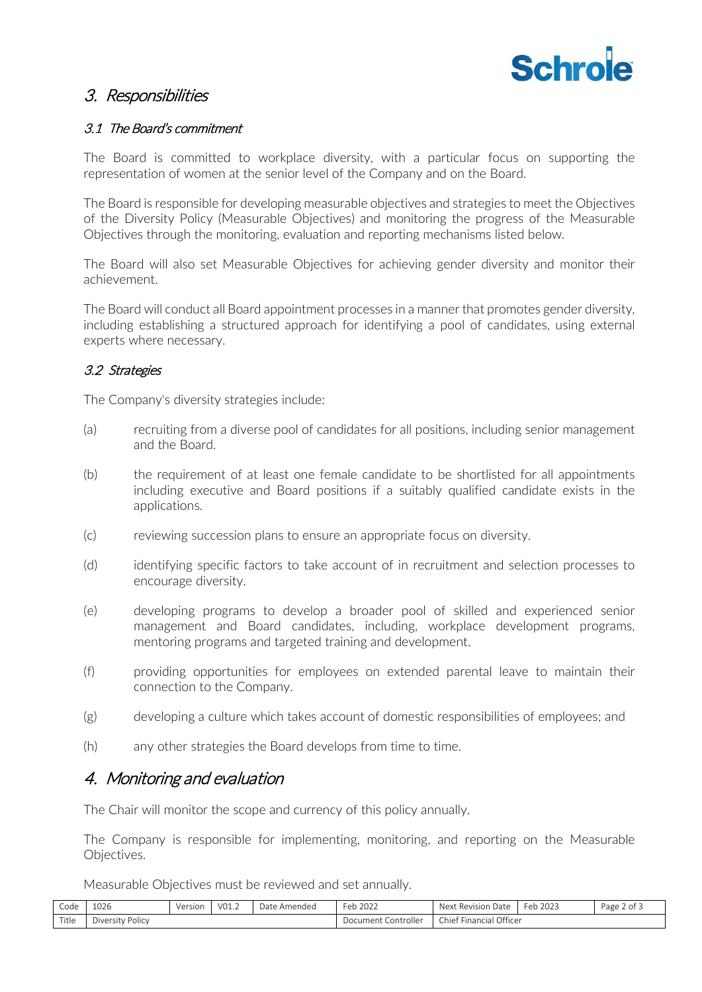

### 3. Responsibilities

#### 3.1 The Board's commitment

The Board is committed to workplace diversity, with a particular focus on supporting the representation of women at the senior level of the Company and on the Board.

The Board is responsible for developing measurable objectives and strategies to meet the Objectives of the Diversity Policy (Measurable Objectives) and monitoring the progress of the Measurable Objectives through the monitoring, evaluation and reporting mechanisms listed below.

The Board will also set Measurable Objectives for achieving gender diversity and monitor their achievement.

The Board will conduct all Board appointment processes in a manner that promotes gender diversity, including establishing a structured approach for identifying a pool of candidates, using external experts where necessary.

#### 3.2 Strategies

The Company's diversity strategies include:

- (a) recruiting from a diverse pool of candidates for all positions, including senior management and the Board.
- (b) the requirement of at least one female candidate to be shortlisted for all appointments including executive and Board positions if a suitably qualified candidate exists in the applications.
- (c) reviewing succession plans to ensure an appropriate focus on diversity.
- (d) identifying specific factors to take account of in recruitment and selection processes to encourage diversity.
- (e) developing programs to develop a broader pool of skilled and experienced senior management and Board candidates, including, workplace development programs, mentoring programs and targeted training and development.
- (f) providing opportunities for employees on extended parental leave to maintain their connection to the Company.
- (g) developing a culture which takes account of domestic responsibilities of employees; and
- (h) any other strategies the Board develops from time to time.

### 4. Monitoring and evaluation

The Chair will monitor the scope and currency of this policy annually.

The Company is responsible for implementing, monitoring, and reporting on the Measurable Objectives.

Measurable Objectives must be reviewed and set annually.

| Code  | 1026             | Version | VO1.2 | Date<br>Amended          | Feb 2022                     | Next<br>. Revision<br>. Date | $\sim$<br>2023<br>Feb | Page 2 of 5 |
|-------|------------------|---------|-------|--------------------------|------------------------------|------------------------------|-----------------------|-------------|
| Title | Diversity Policy |         |       | . Controller<br>Document | Financial Officer<br>Chief I |                              |                       |             |